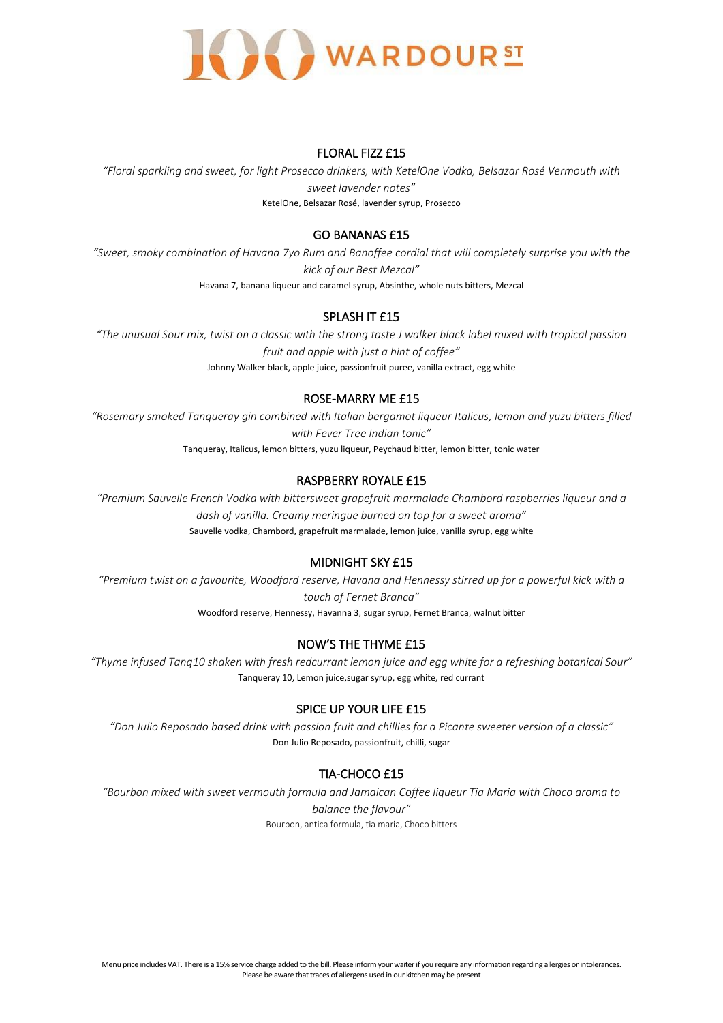

#### FLORAL FIZZ £15

*"Floral sparkling and sweet, for light Prosecco drinkers, with KetelOne Vodka, Belsazar Rosé Vermouth with sweet lavender notes"* KetelOne, Belsazar Rosé, lavender syrup, Prosecco

## GO BANANAS £15

*"Sweet, smoky combination of Havana 7yo Rum and Banoffee cordial that will completely surprise you with the kick of our Best Mezcal"* Havana 7, banana liqueur and caramel syrup, Absinthe, whole nuts bitters, Mezcal

# SPLASH IT £15

*"The unusual Sour mix, twist on a classic with the strong taste J walker black label mixed with tropical passion fruit and apple with just a hint of coffee"* Johnny Walker black, apple juice, passionfruit puree, vanilla extract, egg white

# ROSE-MARRY ME £15

*"Rosemary smoked Tanqueray gin combined with Italian bergamot liqueur Italicus, lemon and yuzu bitters filled with Fever Tree Indian tonic"* Tanqueray, Italicus, lemon bitters, yuzu liqueur, Peychaud bitter, lemon bitter, tonic water

# RASPBERRY ROYALE £15

*"Premium Sauvelle French Vodka with bittersweet grapefruit marmalade Chambord raspberries liqueur and a dash of vanilla. Creamy meringue burned on top for a sweet aroma"* Sauvelle vodka, Chambord, grapefruit marmalade, lemon juice, vanilla syrup, egg white

# MIDNIGHT SKY £15

*"Premium twist on a favourite, Woodford reserve, Havana and Hennessy stirred up for a powerful kick with a touch of Fernet Branca"*

Woodford reserve, Hennessy, Havanna 3, sugar syrup, Fernet Branca, walnut bitter

# NOW'S THE THYME £15

*"Thyme infused Tanq10 shaken with fresh redcurrant lemon juice and egg white for a refreshing botanical Sour"* Tanqueray 10, Lemon juice,sugar syrup, egg white, red currant

# SPICE UP YOUR LIFE £15

*"Don Julio Reposado based drink with passion fruit and chillies for a Picante sweeter version of a classic"* Don Julio Reposado, passionfruit, chilli, sugar

# TIA-CHOCO £15

*"Bourbon mixed with sweet vermouth formula and Jamaican Coffee liqueur Tia Maria with Choco aroma to balance the flavour"* Bourbon, antica formula, tia maria, Choco bitters